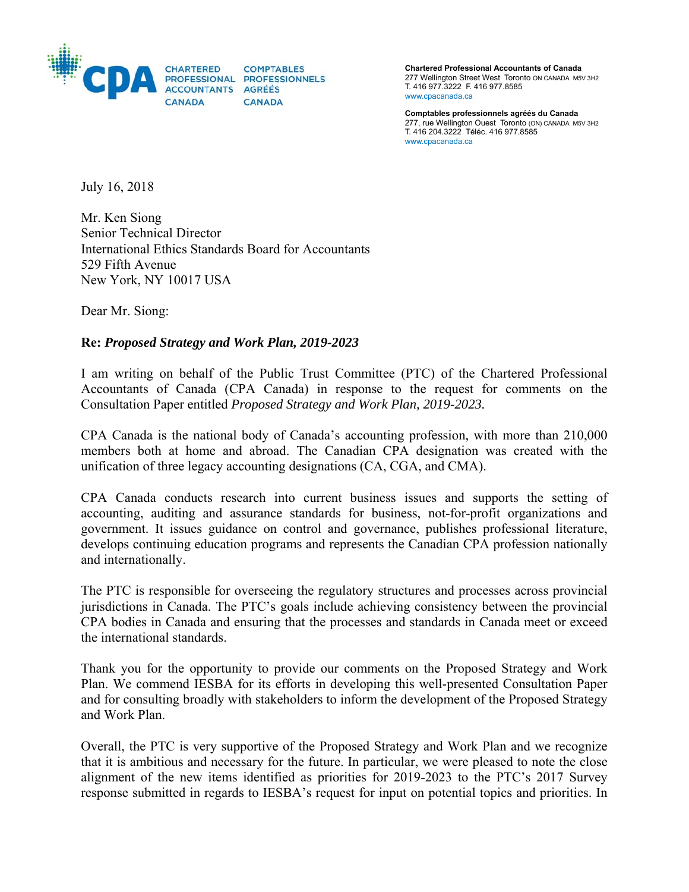

**Chartered Professional Accountants of Canada**  277 Wellington Street West Toronto ON CANADA M5V 3H2 T. 416 977.3222 F. 416 977.8585 www.cpacanada.ca

**Comptables professionnels agréés du Canada**  277, rue Wellington Ouest Toronto (ON) CANADA M5V 3H2 T. 416 204.3222 Téléc. 416 977.8585 www.cpacanada.ca

July 16, 2018

Mr. Ken Siong Senior Technical Director International Ethics Standards Board for Accountants 529 Fifth Avenue New York, NY 10017 USA

Dear Mr. Siong:

#### **Re:** *Proposed Strategy and Work Plan, 2019-2023*

I am writing on behalf of the Public Trust Committee (PTC) of the Chartered Professional Accountants of Canada (CPA Canada) in response to the request for comments on the Consultation Paper entitled *Proposed Strategy and Work Plan, 2019-2023.* 

CPA Canada is the national body of Canada's accounting profession, with more than 210,000 members both at home and abroad. The Canadian CPA designation was created with the unification of three legacy accounting designations (CA, CGA, and CMA).

CPA Canada conducts research into current business issues and supports the setting of accounting, auditing and assurance standards for business, not-for-profit organizations and government. It issues guidance on control and governance, publishes professional literature, develops continuing education programs and represents the Canadian CPA profession nationally and internationally.

The PTC is responsible for overseeing the regulatory structures and processes across provincial jurisdictions in Canada. The PTC's goals include achieving consistency between the provincial CPA bodies in Canada and ensuring that the processes and standards in Canada meet or exceed the international standards.

Thank you for the opportunity to provide our comments on the Proposed Strategy and Work Plan. We commend IESBA for its efforts in developing this well-presented Consultation Paper and for consulting broadly with stakeholders to inform the development of the Proposed Strategy and Work Plan.

Overall, the PTC is very supportive of the Proposed Strategy and Work Plan and we recognize that it is ambitious and necessary for the future. In particular, we were pleased to note the close alignment of the new items identified as priorities for 2019-2023 to the PTC's 2017 Survey response submitted in regards to IESBA's request for input on potential topics and priorities. In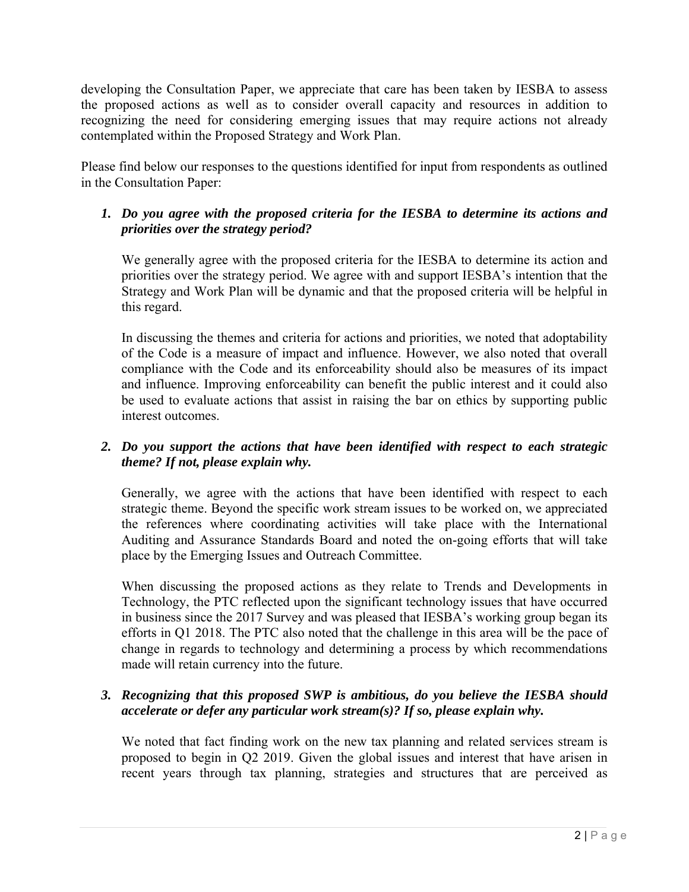developing the Consultation Paper, we appreciate that care has been taken by IESBA to assess the proposed actions as well as to consider overall capacity and resources in addition to recognizing the need for considering emerging issues that may require actions not already contemplated within the Proposed Strategy and Work Plan.

Please find below our responses to the questions identified for input from respondents as outlined in the Consultation Paper:

## *1. Do you agree with the proposed criteria for the IESBA to determine its actions and priorities over the strategy period?*

We generally agree with the proposed criteria for the IESBA to determine its action and priorities over the strategy period. We agree with and support IESBA's intention that the Strategy and Work Plan will be dynamic and that the proposed criteria will be helpful in this regard.

In discussing the themes and criteria for actions and priorities, we noted that adoptability of the Code is a measure of impact and influence. However, we also noted that overall compliance with the Code and its enforceability should also be measures of its impact and influence. Improving enforceability can benefit the public interest and it could also be used to evaluate actions that assist in raising the bar on ethics by supporting public interest outcomes.

## *2. Do you support the actions that have been identified with respect to each strategic theme? If not, please explain why.*

Generally, we agree with the actions that have been identified with respect to each strategic theme. Beyond the specific work stream issues to be worked on, we appreciated the references where coordinating activities will take place with the International Auditing and Assurance Standards Board and noted the on-going efforts that will take place by the Emerging Issues and Outreach Committee.

When discussing the proposed actions as they relate to Trends and Developments in Technology, the PTC reflected upon the significant technology issues that have occurred in business since the 2017 Survey and was pleased that IESBA's working group began its efforts in Q1 2018. The PTC also noted that the challenge in this area will be the pace of change in regards to technology and determining a process by which recommendations made will retain currency into the future.

# *3. Recognizing that this proposed SWP is ambitious, do you believe the IESBA should accelerate or defer any particular work stream(s)? If so, please explain why.*

We noted that fact finding work on the new tax planning and related services stream is proposed to begin in Q2 2019. Given the global issues and interest that have arisen in recent years through tax planning, strategies and structures that are perceived as